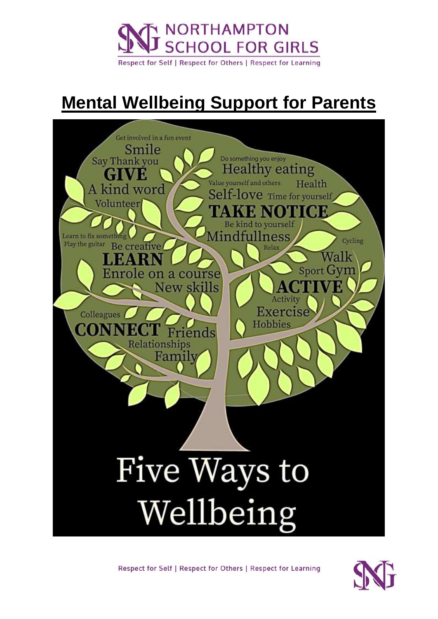

Respect for Self | Respect for Others | Respect for Learning

# **Mental Wellbeing Support for Parents**



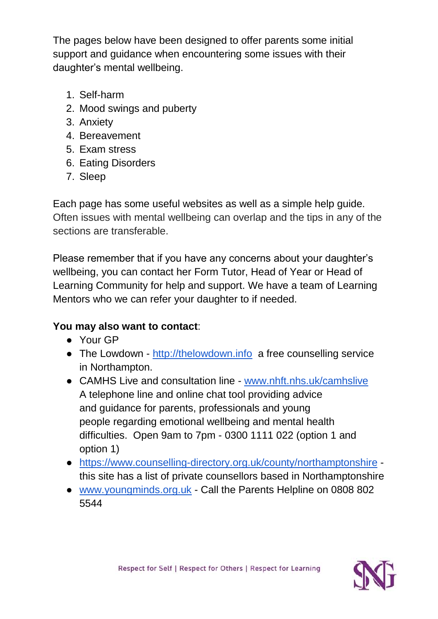The pages below have been designed to offer parents some initial support and guidance when encountering some issues with their daughter's mental wellbeing.

- 1. Self-harm
- 2. Mood swings and puberty
- 3. Anxiety
- 4. Bereavement
- 5. Exam stress
- 6. Eating Disorders
- 7. Sleep

Each page has some useful websites as well as a simple help guide. Often issues with mental wellbeing can overlap and the tips in any of the sections are transferable.

Please remember that if you have any concerns about your daughter's wellbeing, you can contact her Form Tutor, Head of Year or Head of Learning Community for help and support. We have a team of Learning Mentors who we can refer your daughter to if needed.

## **You may also want to contact**:

- Your GP
- The Lowdown [http://thelowdown.info](http://thelowdown.info/) a free counselling service in Northampton.
- CAMHS Live and consultation line [www.nhft.nhs.uk/camhslive](file://///NSG-VS-FS04/StaffHomes$/jpullin/Downloads/www.nhft.nhs.uk/camhslive) A telephone line and online chat tool providing advice and guidance for parents, professionals and young people regarding emotional wellbeing and mental health difficulties. Open 9am to 7pm - 0300 1111 022 (option 1 and option 1)
- <https://www.counselling-directory.org.uk/county/northamptonshire> this site has a list of private counsellors based in Northamptonshire
- [www.youngminds.org.uk](file://///NSG-VS-FS04/StaffHomes$/jpullin/Downloads/www.youngminds.org.uk) Call the Parents Helpline on 0808 802 5544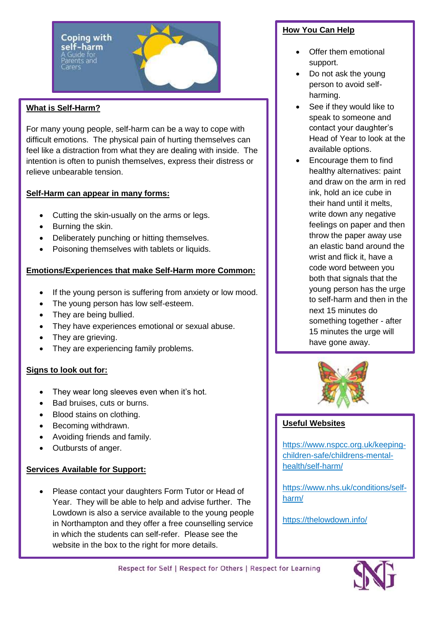Coping with self-harm

#### **What is Self-Harm?**

For many young people, self-harm can be a way to cope with difficult emotions. The physical pain of hurting themselves can feel like a distraction from what they are dealing with inside. The intention is often to punish themselves, express their distress or relieve unbearable tension.

#### **Self-Harm can appear in many forms:**

- Cutting the skin-usually on the arms or legs.
- Burning the skin.
- Deliberately punching or hitting themselves.
- Poisoning themselves with tablets or liquids.

#### **Emotions/Experiences that make Self-Harm more Common:**

- If the young person is suffering from anxiety or low mood.
- The young person has low self-esteem.
- They are being bullied.
- They have experiences emotional or sexual abuse.
- They are grieving.
- They are experiencing family problems.

#### **Signs to look out for:**

- They wear long sleeves even when it's hot.
- Bad bruises, cuts or burns.
- Blood stains on clothing.
- Becoming withdrawn.
- Avoiding friends and family.
- Outbursts of anger.

#### **Services Available for Support:**

• Please contact your daughters Form Tutor or Head of Year. They will be able to help and advise further. The Lowdown is also a service available to the young people in Northampton and they offer a free counselling service in which the students can self-refer. Please see the website in the box to the right for more details.

#### **How You Can Help**

- Offer them emotional support.
- Do not ask the young person to avoid selfharming.
- See if they would like to speak to someone and contact your daughter's Head of Year to look at the available options.
- Encourage them to find healthy alternatives: paint and draw on the arm in red ink, hold an ice cube in their hand until it melts, write down any negative feelings on paper and then throw the paper away use an elastic band around the wrist and flick it, have a code word between you both that signals that the young person has the urge to self-harm and then in the next 15 minutes do something together - after 15 minutes the urge will have gone away.



#### **Useful Websites**

[https://www.nspcc.org.uk/keeping](https://www.nspcc.org.uk/keeping-children-safe/childrens-mental-health/self-harm/)[children-safe/childrens-mental](https://www.nspcc.org.uk/keeping-children-safe/childrens-mental-health/self-harm/)[health/self-harm/](https://www.nspcc.org.uk/keeping-children-safe/childrens-mental-health/self-harm/)

[https://www.nhs.uk/conditions/self](https://www.nhs.uk/conditions/self-harm/)[harm/](https://www.nhs.uk/conditions/self-harm/)

https://thelowdown.info/

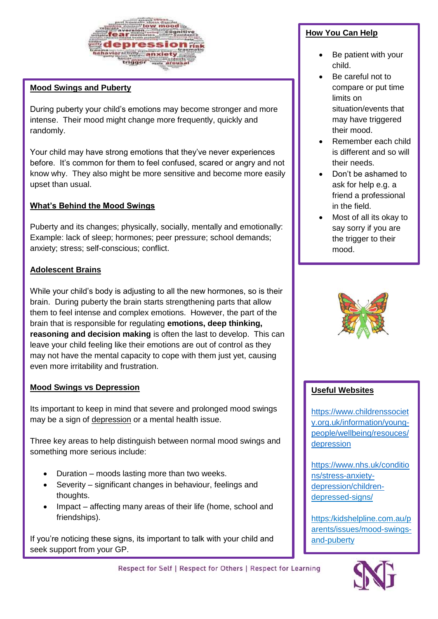

#### **Mood Swings and Puberty**

During puberty your child's emotions may become stronger and more intense. Their mood might change more frequently, quickly and randomly.

Your child may have strong emotions that they've never experiences before. It's common for them to feel confused, scared or angry and not know why. They also might be more sensitive and become more easily upset than usual.

#### **What's Behind the Mood Swings**

Puberty and its changes; physically, socially, mentally and emotionally: Example: lack of sleep; hormones; peer pressure; school demands; anxiety; stress; self-conscious; conflict.

#### **Adolescent Brains**

While your child's body is adjusting to all the new hormones, so is their brain. During puberty the brain starts strengthening parts that allow them to feel intense and complex emotions. However, the part of the brain that is responsible for regulating **emotions, deep thinking, reasoning and decision making** is often the last to develop. This can leave your child feeling like their emotions are out of control as they may not have the mental capacity to cope with them just yet, causing even more irritability and frustration.

#### **Mood Swings vs Depression**

Its important to keep in mind that severe and prolonged mood swings may be a sign of depression or a mental health issue.

Three key areas to help distinguish between normal mood swings and something more serious include:

- Duration moods lasting more than two weeks.
- Severity significant changes in behaviour, feelings and thoughts.
- Impact affecting many areas of their life (home, school and friendships).

If you're noticing these signs, its important to talk with your child and seek support from your GP.

#### **How You Can Help**

- Be patient with your child.
- Be careful not to compare or put time limits on situation/events that may have triggered their mood.
- Remember each child is different and so will their needs.
- Don't be ashamed to ask for help e.g. a friend a professional in the field.
- Most of all its okay to say sorry if you are the trigger to their mood.



#### **Useful Websites**

[https://www.childrenssociet](https://www.childrenssociety.org.uk/information/young-people/wellbeing/resouces/depression) [y.org.uk/information/young](https://www.childrenssociety.org.uk/information/young-people/wellbeing/resouces/depression)[people/wellbeing/resouces/](https://www.childrenssociety.org.uk/information/young-people/wellbeing/resouces/depression) [depression](https://www.childrenssociety.org.uk/information/young-people/wellbeing/resouces/depression)

[https://www.nhs.uk/conditio](https://www.nhs.uk/conditions/stress-anxiety-depression/children) [ns/stress-anxiety](https://www.nhs.uk/conditions/stress-anxiety-depression/children)[depression/children](https://www.nhs.uk/conditions/stress-anxiety-depression/children)depressed-signs/

https:/kidshelpline.com.au/p arents/issues/mood-swingsand-puberty



Respect for Self | Respect for Others | Respect for Learning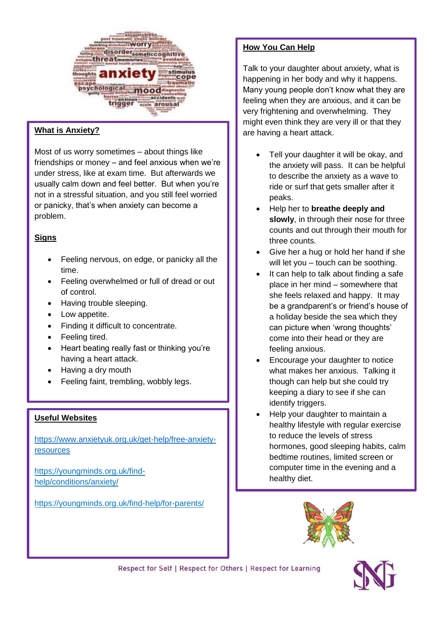

#### **What is Anxiety?**

Most of us worry sometimes – about things like friendships or money – and feel anxious when we're under stress, like at exam time. But afterwards we usually calm down and feel better. But when you're not in a stressful situation, and you still feel worried or panicky, that's when anxiety can become a problem.

#### **Signs**

- Feeling nervous, on edge, or panicky all the time.
- Feeling overwhelmed or full of dread or out of control.
- Having trouble sleeping.
- Low appetite.
- Finding it difficult to concentrate.
- Feeling tired.
- Heart beating really fast or thinking you're having a heart attack.
- Having a dry mouth
- Feeling faint, trembling, wobbly legs.

#### **Useful Websites**

[https://www.anxietyuk.org.uk/get-help/free-anxiety](https://www.anxietyuk.org.uk/get-help/free-anxiety-resources)[resources](https://www.anxietyuk.org.uk/get-help/free-anxiety-resources)

https;//youngminds.org.uk/findhelp/conditions/anxiety/

https://youngminds.org.uk/find-help/for-parents/

#### **How You Can Help**

Talk to your daughter about anxiety, what is happening in her body and why it happens. Many young people don't know what they are feeling when they are anxious, and it can be very frightening and overwhelming. They might even think they are very ill or that they are having a heart attack.

- Tell your daughter it will be okay, and the anxiety will pass. It can be helpful to describe the anxiety as a wave to ride or surf that gets smaller after it peaks.
- Help her to **breathe deeply and slowly**, in through their nose for three counts and out through their mouth for three counts.
- Give her a hug or hold her hand if she will let you – touch can be soothing.
- It can help to talk about finding a safe place in her mind – somewhere that she feels relaxed and happy. It may be a grandparent's or friend's house of a holiday beside the sea which they can picture when 'wrong thoughts' come into their head or they are feeling anxious.
- Encourage your daughter to notice what makes her anxious. Talking it though can help but she could try keeping a diary to see if she can identify triggers.
- Help your daughter to maintain a healthy lifestyle with regular exercise to reduce the levels of stress hormones, good sleeping habits, calm bedtime routines, limited screen or computer time in the evening and a healthy diet.

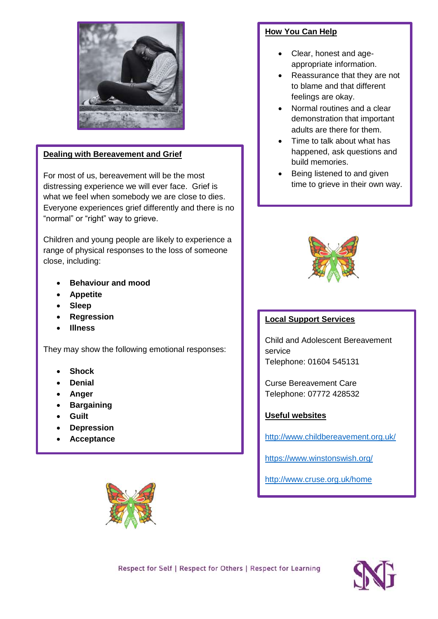

#### **Dealing with Bereavement and Grief**

For most of us, bereavement will be the most distressing experience we will ever face. Grief is what we feel when somebody we are close to dies. Everyone experiences grief differently and there is no "normal" or "right" way to grieve.

Children and young people are likely to experience a range of physical responses to the loss of someone close, including:

- **Behaviour and mood**
- **Appetite**
- **Sleep**
- **Regression**
- **Illness**

They may show the following emotional responses:

- **Shock**
- **Denial**
- **Anger**
- **Bargaining**
- **Guilt**
- **Depression**
- **Acceptance**



#### **How You Can Help**

- Clear, honest and ageappropriate information.
- Reassurance that they are not to blame and that different feelings are okay.
- Normal routines and a clear demonstration that important adults are there for them.
- Time to talk about what has happened, ask questions and build memories.
- Being listened to and given time to grieve in their own way.



#### **Local Support Services**

Child and Adolescent Bereavement service Telephone: 01604 545131

Curse Bereavement Care Telephone: 07772 428532

#### **Useful websites**

<http://www.childbereavement.org.uk/>

<https://www.winstonswish.org/>

<http://www.cruse.org.uk/home>

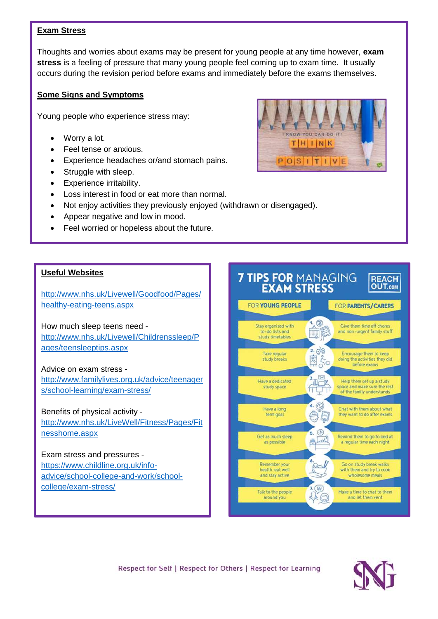#### **Exam Stress**

Thoughts and worries about exams may be present for young people at any time however, **exam stress** is a feeling of pressure that many young people feel coming up to exam time. It usually occurs during the revision period before exams and immediately before the exams themselves.

#### **Some Signs and Symptoms**

Young people who experience stress may:

- Worry a lot.
- Feel tense or anxious.
- Experience headaches or/and stomach pains.
- Struggle with sleep.
- Experience irritability.
- Loss interest in food or eat more than normal.
- Not enjoy activities they previously enjoyed (withdrawn or disengaged).
- Appear negative and low in mood.
- Feel worried or hopeless about the future.

#### **Useful Websites**

[http://www.nhs.uk/Livewell/Goodfood/Pages/](http://www.nhs.uk/Livewell/Goodfood/Pages/healthy-eating-teens.aspx) [healthy-eating-teens.aspx](http://www.nhs.uk/Livewell/Goodfood/Pages/healthy-eating-teens.aspx)

How much sleep teens need [http://www.nhs.uk/Livewell/Childrenssleep/P](http://www.nhs.uk/Livewell/Childrenssleep/Pages/teensleeptips.aspx) [ages/teensleeptips.aspx](http://www.nhs.uk/Livewell/Childrenssleep/Pages/teensleeptips.aspx)

#### Advice on exam stress -

[http://www.familylives.org.uk/advice/teenager](http://www.familylives.org.uk/advice/teenagers/school-learning/exam-stress/) [s/school-learning/exam-stress/](http://www.familylives.org.uk/advice/teenagers/school-learning/exam-stress/)

#### Benefits of physical activity -

[http://www.nhs.uk/LiveWell/Fitness/Pages/Fit](http://www.nhs.uk/LiveWell/Fitness/Pages/Fitnesshome.aspx) [nesshome.aspx](http://www.nhs.uk/LiveWell/Fitness/Pages/Fitnesshome.aspx)

#### Exam stress and pressures [https://www.childline.org.uk/info](https://www.childline.org.uk/info-advice/school-college-and-work/school-college/exam-stress/)[advice/school-college-and-work/school-](https://www.childline.org.uk/info-advice/school-college-and-work/school-college/exam-stress/)

[college/exam-stress/](https://www.childline.org.uk/info-advice/school-college-and-work/school-college/exam-stress/)





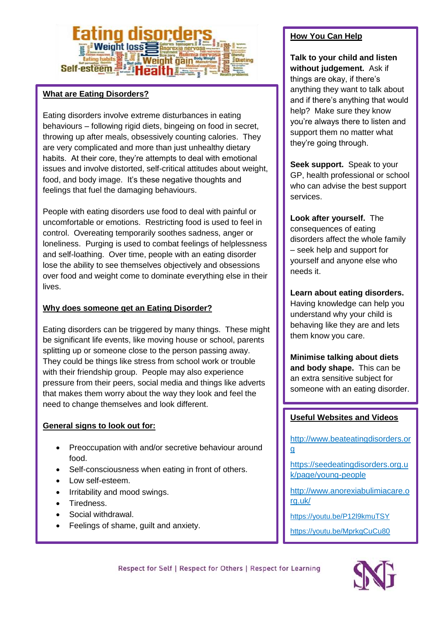## **Weight Inss Weight gai** Self-esteem

#### **What are Eating Disorders?**

Eating disorders involve extreme disturbances in eating behaviours – following rigid diets, bingeing on food in secret, throwing up after meals, obsessively counting calories. They are very complicated and more than just unhealthy dietary habits. At their core, they're attempts to deal with emotional issues and involve distorted, self-critical attitudes about weight, food, and body image. It's these negative thoughts and feelings that fuel the damaging behaviours.

People with eating disorders use food to deal with painful or uncomfortable or emotions. Restricting food is used to feel in control. Overeating temporarily soothes sadness, anger or loneliness. Purging is used to combat feelings of helplessness and self-loathing. Over time, people with an eating disorder lose the ability to see themselves objectively and obsessions over food and weight come to dominate everything else in their lives.

#### **Why does someone get an Eating Disorder?**

Eating disorders can be triggered by many things. These might be significant life events, like moving house or school, parents splitting up or someone close to the person passing away. They could be things like stress from school work or trouble with their friendship group. People may also experience pressure from their peers, social media and things like adverts that makes them worry about the way they look and feel the need to change themselves and look different.

#### **General signs to look out for:**

- Preoccupation with and/or secretive behaviour around food.
- Self-consciousness when eating in front of others.
- Low self-esteem.
- Irritability and mood swings.
- Tiredness.
- Social withdrawal.
- Feelings of shame, guilt and anxiety.

#### **How You Can Help**

**Talk to your child and listen without judgement.** Ask if things are okay, if there's anything they want to talk about and if there's anything that would help? Make sure they know you're always there to listen and support them no matter what they're going through.

**Seek support.** Speak to your GP, health professional or school who can advise the best support services.

**Look after yourself.** The consequences of eating disorders affect the whole family – seek help and support for yourself and anyone else who needs it.

**Learn about eating disorders.** Having knowledge can help you understand why your child is behaving like they are and lets them know you care.

**Minimise talking about diets and body shape.** This can be an extra sensitive subject for someone with an eating disorder.

#### **Useful Websites and Videos**

[http://www.beateatingdisorders.or](http://www.beateatingdisorders.org/) [g](http://www.beateatingdisorders.org/)

[https://seedeatingdisorders.org.u](https://seedeatingdisorders.org.uk/page/young-people) [k/page/young-people](https://seedeatingdisorders.org.uk/page/young-people)

[http://www.anorexiabulimiacare.o](http://www.anorexiabulimiacare.org.uk/) [rg.uk/](http://www.anorexiabulimiacare.org.uk/)

<https://youtu.be/P12l9kmuTSY>

<https://youtu.be/MprkgCuCu80>

Respect for Self | Respect for Others | Respect for Learning

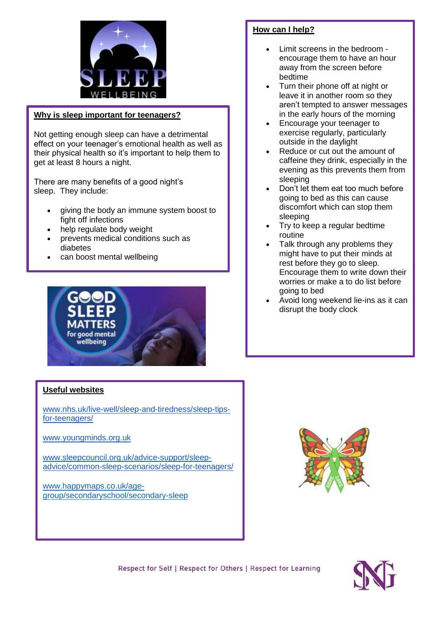

#### **Why is sleep important for teenagers?**

Not getting enough sleep can have a detrimental effect on your teenager's emotional health as well as their physical health so it's important to help them to get at least 8 hours a night.

There are many benefits of a good night's sleep. They include:

- giving the body an immune system boost to fight off infections
- help regulate body weight
- prevents medical conditions such as diabetes
- can boost mental wellbeing



#### **How can I help?**

- Limit screens in the bedroom encourage them to have an hour away from the screen before bedtime
- Turn their phone off at night or leave it in another room so they aren't tempted to answer messages in the early hours of the morning
- Encourage your teenager to exercise regularly, particularly outside in the daylight
- Reduce or cut out the amount of caffeine they drink, especially in the evening as this prevents them from sleeping
- Don't let them eat too much before going to bed as this can cause discomfort which can stop them sleeping
- Try to keep a regular bedtime routine
- Talk through any problems they might have to put their minds at rest before they go to sleep. Encourage them to write down their worries or make a to do list before going to bed
- Avoid long weekend lie-ins as it can disrupt the body clock

#### **Useful websites**

[www.nhs.uk/live-well/sleep-and-tiredness/sleep-tips](http://www.nhs.uk/live-well/sleep-and-tiredness/sleep-tips-for-teenagers/)[for-teenagers/](http://www.nhs.uk/live-well/sleep-and-tiredness/sleep-tips-for-teenagers/)

[www.youngminds.org.uk](http://www.youngminds.org.uk/)

[www.sleepcouncil.org.uk/advice-support/sleep](http://www.sleepcouncil.org.uk/advice-support/sleep-advice/common-sleep-scenarios/sleep-for-teenagers/)[advice/common-sleep-scenarios/sleep-for-teenagers/](http://www.sleepcouncil.org.uk/advice-support/sleep-advice/common-sleep-scenarios/sleep-for-teenagers/)

[www.happymaps.co.uk/age](http://www.happymaps.co.uk/age-group/secondaryschool/secondary-sleep)[group/secondaryschool/secondary-sleep](http://www.happymaps.co.uk/age-group/secondaryschool/secondary-sleep)



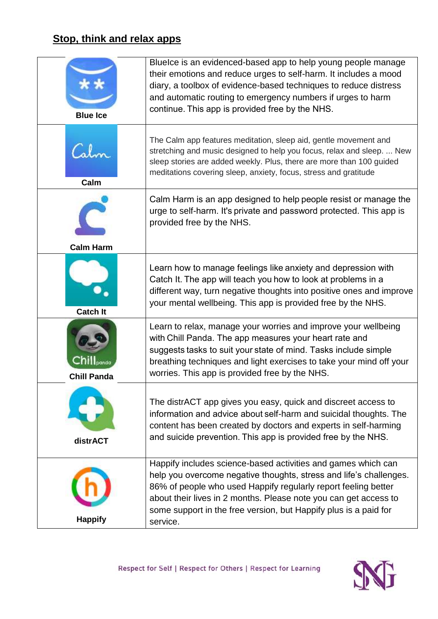## **Stop, think and relax apps**

| <b>Blue Ice</b>    | Bluelce is an evidenced-based app to help young people manage<br>their emotions and reduce urges to self-harm. It includes a mood<br>diary, a toolbox of evidence-based techniques to reduce distress<br>and automatic routing to emergency numbers if urges to harm<br>continue. This app is provided free by the NHS.                                   |
|--------------------|-----------------------------------------------------------------------------------------------------------------------------------------------------------------------------------------------------------------------------------------------------------------------------------------------------------------------------------------------------------|
| Calm               | The Calm app features meditation, sleep aid, gentle movement and<br>stretching and music designed to help you focus, relax and sleep.  New<br>sleep stories are added weekly. Plus, there are more than 100 guided<br>meditations covering sleep, anxiety, focus, stress and gratitude                                                                    |
|                    | Calm Harm is an app designed to help people resist or manage the<br>urge to self-harm. It's private and password protected. This app is<br>provided free by the NHS.                                                                                                                                                                                      |
| <b>Calm Harm</b>   |                                                                                                                                                                                                                                                                                                                                                           |
| <b>Catch It</b>    | Learn how to manage feelings like anxiety and depression with<br>Catch It. The app will teach you how to look at problems in a<br>different way, turn negative thoughts into positive ones and improve<br>your mental wellbeing. This app is provided free by the NHS.                                                                                    |
| <b>Chill Panda</b> | Learn to relax, manage your worries and improve your wellbeing<br>with Chill Panda. The app measures your heart rate and<br>suggests tasks to suit your state of mind. Tasks include simple<br>breathing techniques and light exercises to take your mind off your<br>worries. This app is provided free by the NHS.                                      |
| distrACT           | The distrACT app gives you easy, quick and discreet access to<br>information and advice about self-harm and suicidal thoughts. The<br>content has been created by doctors and experts in self-harming<br>and suicide prevention. This app is provided free by the NHS.                                                                                    |
| <b>Happify</b>     | Happify includes science-based activities and games which can<br>help you overcome negative thoughts, stress and life's challenges.<br>86% of people who used Happify regularly report feeling better<br>about their lives in 2 months. Please note you can get access to<br>some support in the free version, but Happify plus is a paid for<br>service. |

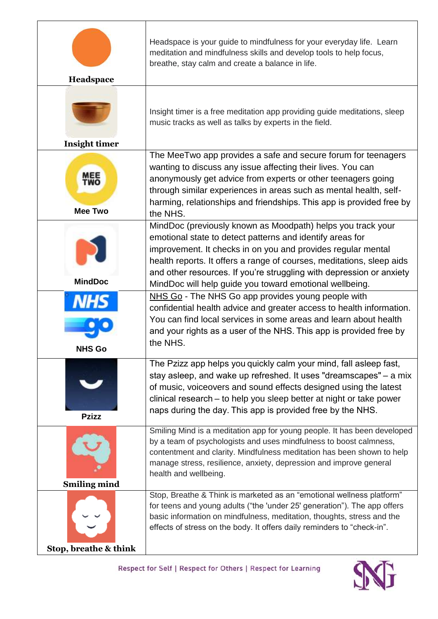|                              | Headspace is your guide to mindfulness for your everyday life. Learn<br>meditation and mindfulness skills and develop tools to help focus,<br>breathe, stay calm and create a balance in life.                                                                                                                                                        |
|------------------------------|-------------------------------------------------------------------------------------------------------------------------------------------------------------------------------------------------------------------------------------------------------------------------------------------------------------------------------------------------------|
| Headspace                    |                                                                                                                                                                                                                                                                                                                                                       |
|                              | Insight timer is a free meditation app providing guide meditations, sleep<br>music tracks as well as talks by experts in the field.                                                                                                                                                                                                                   |
| <b>Insight timer</b>         |                                                                                                                                                                                                                                                                                                                                                       |
| <b>MEE</b><br><b>Mee Two</b> | The MeeTwo app provides a safe and secure forum for teenagers<br>wanting to discuss any issue affecting their lives. You can<br>anonymously get advice from experts or other teenagers going<br>through similar experiences in areas such as mental health, self-<br>harming, relationships and friendships. This app is provided free by<br>the NHS. |
|                              | MindDoc (previously known as Moodpath) helps you track your<br>emotional state to detect patterns and identify areas for<br>improvement. It checks in on you and provides regular mental<br>health reports. It offers a range of courses, meditations, sleep aids<br>and other resources. If you're struggling with depression or anxiety             |
| <b>MindDoc</b>               | MindDoc will help guide you toward emotional wellbeing.                                                                                                                                                                                                                                                                                               |
| <b>NHS Go</b>                | NHS Go - The NHS Go app provides young people with<br>confidential health advice and greater access to health information.<br>You can find local services in some areas and learn about health<br>and your rights as a user of the NHS. This app is provided free by<br>the NHS.                                                                      |
| <b>Pzizz</b>                 | The Pzizz app helps you quickly calm your mind, fall asleep fast,<br>stay asleep, and wake up refreshed. It uses "dreamscapes" – a mix<br>of music, voiceovers and sound effects designed using the latest<br>clinical research - to help you sleep better at night or take power<br>naps during the day. This app is provided free by the NHS.       |
| <b>Smiling mind</b>          | Smiling Mind is a meditation app for young people. It has been developed<br>by a team of psychologists and uses mindfulness to boost calmness,<br>contentment and clarity. Mindfulness meditation has been shown to help<br>manage stress, resilience, anxiety, depression and improve general<br>health and wellbeing.                               |
|                              | Stop, Breathe & Think is marketed as an "emotional wellness platform"                                                                                                                                                                                                                                                                                 |
| Stop, breathe & think        | for teens and young adults ("the 'under 25' generation"). The app offers<br>basic information on mindfulness, meditation, thoughts, stress and the<br>effects of stress on the body. It offers daily reminders to "check-in".                                                                                                                         |

r

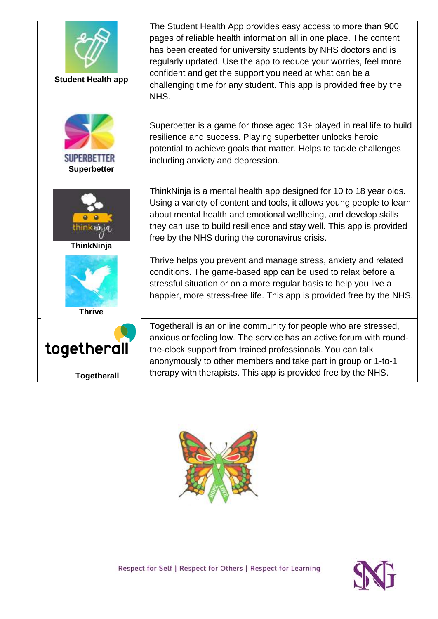| <b>Student Health app</b>         | The Student Health App provides easy access to more than 900<br>pages of reliable health information all in one place. The content<br>has been created for university students by NHS doctors and is<br>regularly updated. Use the app to reduce your worries, feel more<br>confident and get the support you need at what can be a<br>challenging time for any student. This app is provided free by the<br>NHS. |
|-----------------------------------|-------------------------------------------------------------------------------------------------------------------------------------------------------------------------------------------------------------------------------------------------------------------------------------------------------------------------------------------------------------------------------------------------------------------|
| SUPERBETTER<br><b>Superbetter</b> | Superbetter is a game for those aged 13+ played in real life to build<br>resilience and success. Playing superbetter unlocks heroic<br>potential to achieve goals that matter. Helps to tackle challenges<br>including anxiety and depression.                                                                                                                                                                    |
| ThinkNinja                        | ThinkNinja is a mental health app designed for 10 to 18 year olds.<br>Using a variety of content and tools, it allows young people to learn<br>about mental health and emotional wellbeing, and develop skills<br>they can use to build resilience and stay well. This app is provided<br>free by the NHS during the coronavirus crisis.                                                                          |
| <b>Thrive</b>                     | Thrive helps you prevent and manage stress, anxiety and related<br>conditions. The game-based app can be used to relax before a<br>stressful situation or on a more regular basis to help you live a<br>happier, more stress-free life. This app is provided free by the NHS.                                                                                                                                     |
| togetherall<br><b>Togetherall</b> | Togetherall is an online community for people who are stressed,<br>anxious or feeling low. The service has an active forum with round-<br>the-clock support from trained professionals. You can talk<br>anonymously to other members and take part in group or 1-to-1<br>therapy with therapists. This app is provided free by the NHS.                                                                           |